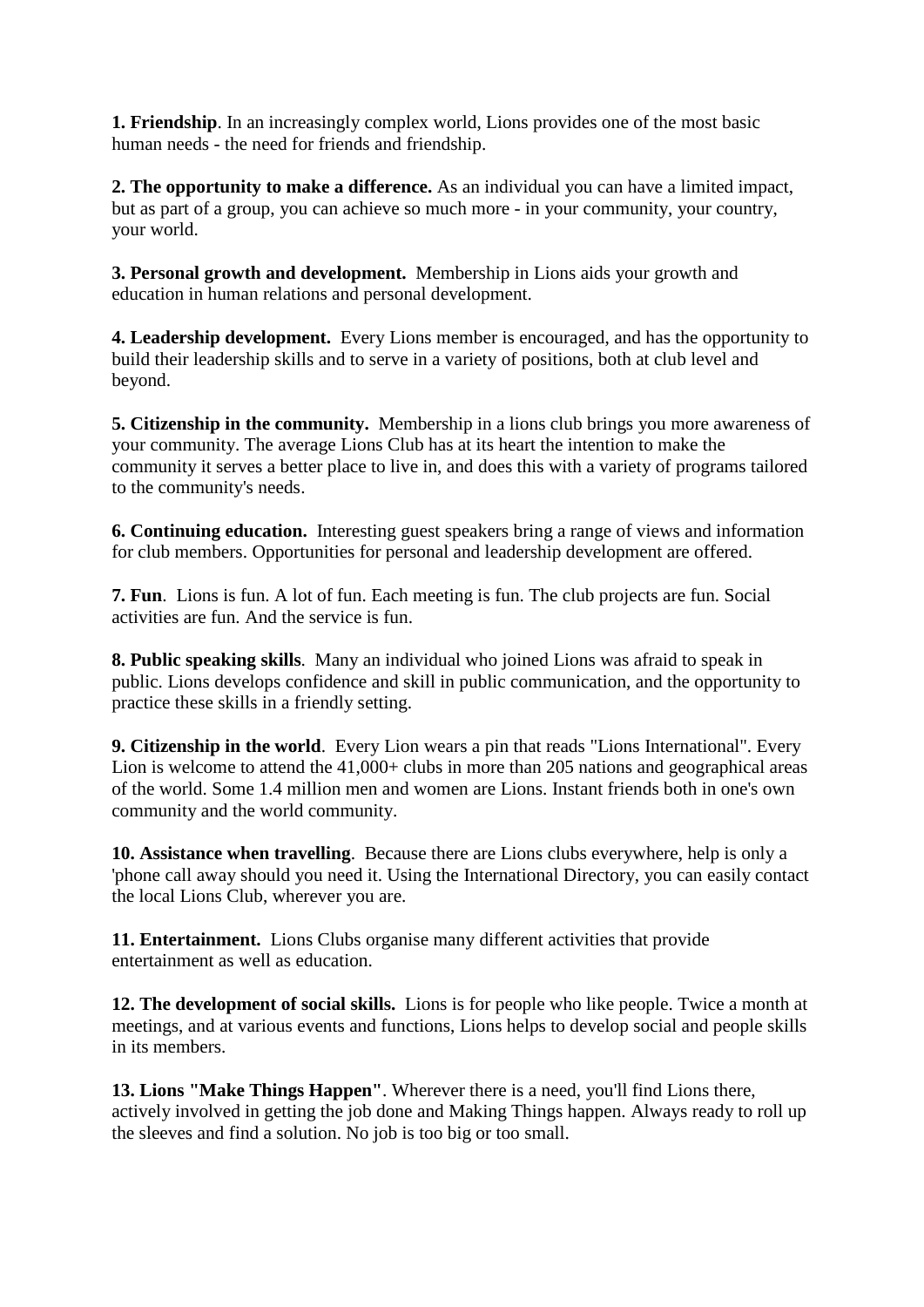**1. Friendship**. In an increasingly complex world, Lions provides one of the most basic human needs - the need for friends and friendship.

**2. The opportunity to make a difference.** As an individual you can have a limited impact, but as part of a group, you can achieve so much more - in your community, your country, your world.

**3. Personal growth and development.** Membership in Lions aids your growth and education in human relations and personal development.

**4. Leadership development.** Every Lions member is encouraged, and has the opportunity to build their leadership skills and to serve in a variety of positions, both at club level and beyond.

**5. Citizenship in the community.** Membership in a lions club brings you more awareness of your community. The average Lions Club has at its heart the intention to make the community it serves a better place to live in, and does this with a variety of programs tailored to the community's needs.

**6. Continuing education.** Interesting guest speakers bring a range of views and information for club members. Opportunities for personal and leadership development are offered.

**7. Fun**. Lions is fun. A lot of fun. Each meeting is fun. The club projects are fun. Social activities are fun. And the service is fun.

**8. Public speaking skills**. Many an individual who joined Lions was afraid to speak in public. Lions develops confidence and skill in public communication, and the opportunity to practice these skills in a friendly setting.

**9. Citizenship in the world**. Every Lion wears a pin that reads "Lions International". Every Lion is welcome to attend the 41,000+ clubs in more than 205 nations and geographical areas of the world. Some 1.4 million men and women are Lions. Instant friends both in one's own community and the world community.

**10. Assistance when travelling**. Because there are Lions clubs everywhere, help is only a 'phone call away should you need it. Using the International Directory, you can easily contact the local Lions Club, wherever you are.

**11. Entertainment.** Lions Clubs organise many different activities that provide entertainment as well as education.

**12. The development of social skills.** Lions is for people who like people. Twice a month at meetings, and at various events and functions, Lions helps to develop social and people skills in its members.

**13. Lions "Make Things Happen"**. Wherever there is a need, you'll find Lions there, actively involved in getting the job done and Making Things happen. Always ready to roll up the sleeves and find a solution. No job is too big or too small.